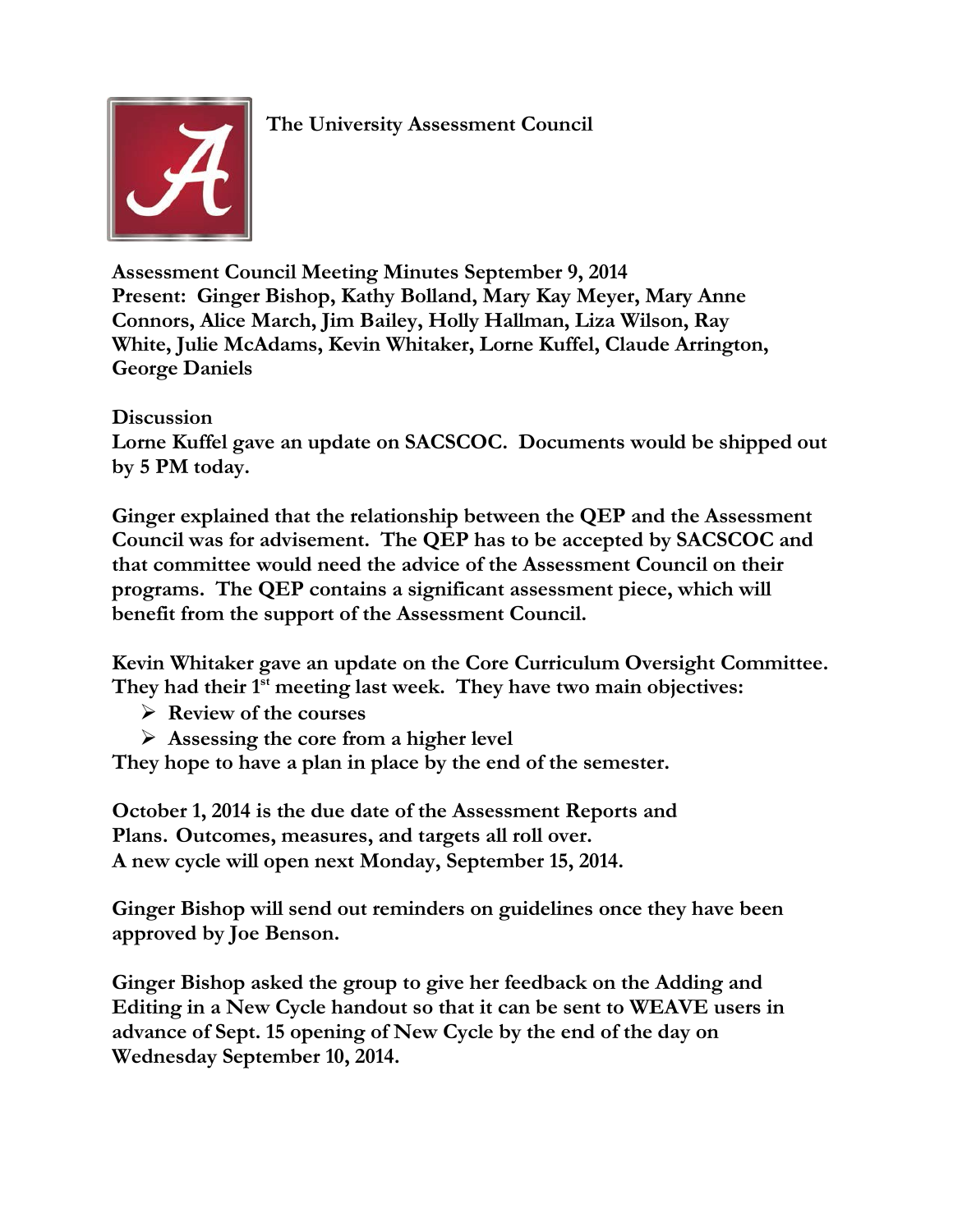**The University Assessment Council**



**Assessment Council Meeting Minutes September 9, 2014 Present: Ginger Bishop, Kathy Bolland, Mary Kay Meyer, Mary Anne Connors, Alice March, Jim Bailey, Holly Hallman, Liza Wilson, Ray White, Julie McAdams, Kevin Whitaker, Lorne Kuffel, Claude Arrington, George Daniels**

**Discussion Lorne Kuffel gave an update on SACSCOC. Documents would be shipped out by 5 PM today.**

**Ginger explained that the relationship between the QEP and the Assessment Council was for advisement. The QEP has to be accepted by SACSCOC and that committee would need the advice of the Assessment Council on their programs. The QEP contains a significant assessment piece, which will benefit from the support of the Assessment Council.**

**Kevin Whitaker gave an update on the Core Curriculum Oversight Committee. They had their 1st meeting last week. They have two main objectives:**

- **Review of the courses**
- **Assessing the core from a higher level**

**They hope to have a plan in place by the end of the semester.**

**October 1, 2014 is the due date of the Assessment Reports and Plans. Outcomes, measures, and targets all roll over. A new cycle will open next Monday, September 15, 2014.**

**Ginger Bishop will send out reminders on guidelines once they have been approved by Joe Benson.**

**Ginger Bishop asked the group to give her feedback on the Adding and Editing in a New Cycle handout so that it can be sent to WEAVE users in advance of Sept. 15 opening of New Cycle by the end of the day on Wednesday September 10, 2014.**